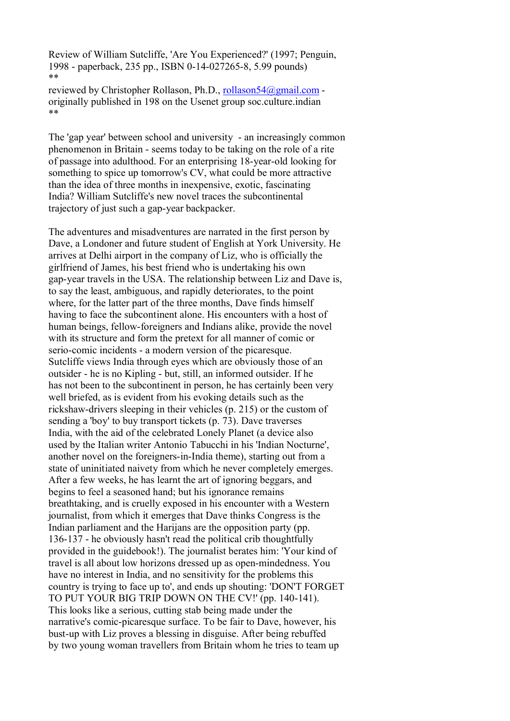Review of William Sutcliffe, 'Are You Experienced?' (1997; Penguin, 1998 - paperback, 235 pp., ISBN 0-14-027265-8, 5.99 pounds) \*\*

reviewed by Christopher Rollason, Ph.D., [rollason54@gmail.com](mailto:rollason54@gmail.com) originally published in 198 on the Usenet group soc.culture.indian \*\*

The 'gap year' between school and university - an increasingly common phenomenon in Britain - seems today to be taking on the role of a rite of passage into adulthood. For an enterprising 18-year-old looking for something to spice up tomorrow's CV, what could be more attractive than the idea of three months in inexpensive, exotic, fascinating India? William Sutcliffe's new novel traces the subcontinental trajectory of just such a gap-year backpacker.

The adventures and misadventures are narrated in the first person by Dave, a Londoner and future student of English at York University. He arrives at Delhi airport in the company of Liz, who is officially the girlfriend of James, his best friend who is undertaking his own gap-year travels in the USA. The relationship between Liz and Dave is, to say the least, ambiguous, and rapidly deteriorates, to the point where, for the latter part of the three months, Dave finds himself having to face the subcontinent alone. His encounters with a host of human beings, fellow-foreigners and Indians alike, provide the novel with its structure and form the pretext for all manner of comic or serio-comic incidents - a modern version of the picaresque. Sutcliffe views India through eyes which are obviously those of an outsider - he is no Kipling - but, still, an informed outsider. If he has not been to the subcontinent in person, he has certainly been very well briefed, as is evident from his evoking details such as the rickshaw-drivers sleeping in their vehicles (p. 215) or the custom of sending a 'boy' to buy transport tickets (p. 73). Dave traverses India, with the aid of the celebrated Lonely Planet (a device also used by the Italian writer Antonio Tabucchi in his 'Indian Nocturne', another novel on the foreigners-in-India theme), starting out from a state of uninitiated naivety from which he never completely emerges. After a few weeks, he has learnt the art of ignoring beggars, and begins to feel a seasoned hand; but his ignorance remains breathtaking, and is cruelly exposed in his encounter with a Western journalist, from which it emerges that Dave thinks Congress is the Indian parliament and the Harijans are the opposition party (pp. 136-137 - he obviously hasn't read the political crib thoughtfully provided in the guidebook!). The journalist berates him: 'Your kind of travel is all about low horizons dressed up as open-mindedness. You have no interest in India, and no sensitivity for the problems this country is trying to face up to', and ends up shouting: 'DON'T FORGET TO PUT YOUR BIG TRIP DOWN ON THE CV!' (pp. 140-141). This looks like a serious, cutting stab being made under the narrative's comic-picaresque surface. To be fair to Dave, however, his bust-up with Liz proves a blessing in disguise. After being rebuffed by two young woman travellers from Britain whom he tries to team up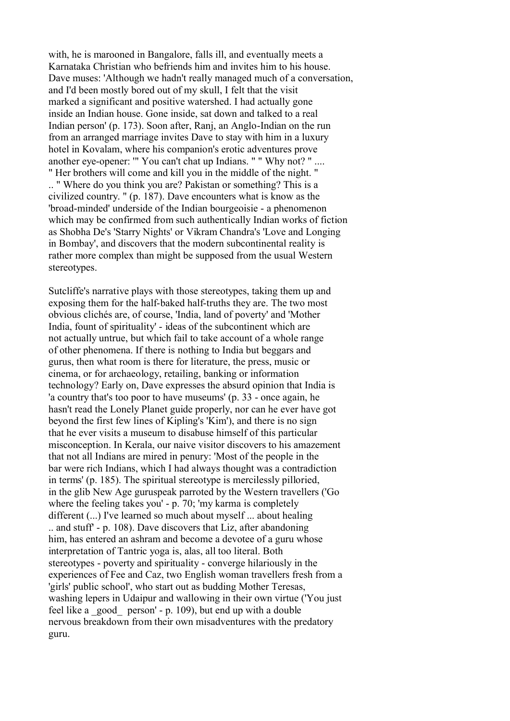with, he is marooned in Bangalore, falls ill, and eventually meets a Karnataka Christian who befriends him and invites him to his house. Dave muses: 'Although we hadn't really managed much of a conversation, and I'd been mostly bored out of my skull, I felt that the visit marked a significant and positive watershed. I had actually gone inside an Indian house. Gone inside, sat down and talked to a real Indian person' (p. 173). Soon after, Ranj, an Anglo-Indian on the run from an arranged marriage invites Dave to stay with him in a luxury hotel in Kovalam, where his companion's erotic adventures prove another eye-opener: '" You can't chat up Indians. " " Why not? " .... " Her brothers will come and kill you in the middle of the night. " .. " Where do you think you are? Pakistan or something? This is a civilized country. " (p. 187). Dave encounters what is know as the 'broad-minded' underside of the Indian bourgeoisie - a phenomenon which may be confirmed from such authentically Indian works of fiction as Shobha De's 'Starry Nights' or Vikram Chandra's 'Love and Longing in Bombay', and discovers that the modern subcontinental reality is rather more complex than might be supposed from the usual Western stereotypes.

Sutcliffe's narrative plays with those stereotypes, taking them up and exposing them for the half-baked half-truths they are. The two most obvious clichés are, of course, 'India, land of poverty' and 'Mother India, fount of spirituality' - ideas of the subcontinent which are not actually untrue, but which fail to take account of a whole range of other phenomena. If there is nothing to India but beggars and gurus, then what room is there for literature, the press, music or cinema, or for archaeology, retailing, banking or information technology? Early on, Dave expresses the absurd opinion that India is 'a country that's too poor to have museums' (p. 33 - once again, he hasn't read the Lonely Planet guide properly, nor can he ever have got beyond the first few lines of Kipling's 'Kim'), and there is no sign that he ever visits a museum to disabuse himself of this particular misconception. In Kerala, our naive visitor discovers to his amazement that not all Indians are mired in penury: 'Most of the people in the bar were rich Indians, which I had always thought was a contradiction in terms' (p. 185). The spiritual stereotype is mercilessly pilloried, in the glib New Age guruspeak parroted by the Western travellers ('Go where the feeling takes you' - p. 70; 'my karma is completely different (...) I've learned so much about myself ... about healing .. and stuff' - p. 108). Dave discovers that Liz, after abandoning him, has entered an ashram and become a devotee of a guru whose interpretation of Tantric yoga is, alas, all too literal. Both stereotypes - poverty and spirituality - converge hilariously in the experiences of Fee and Caz, two English woman travellers fresh from a 'girls' public school', who start out as budding Mother Teresas, washing lepers in Udaipur and wallowing in their own virtue ('You just feel like a \_good\_ person' - p. 109), but end up with a double nervous breakdown from their own misadventures with the predatory guru.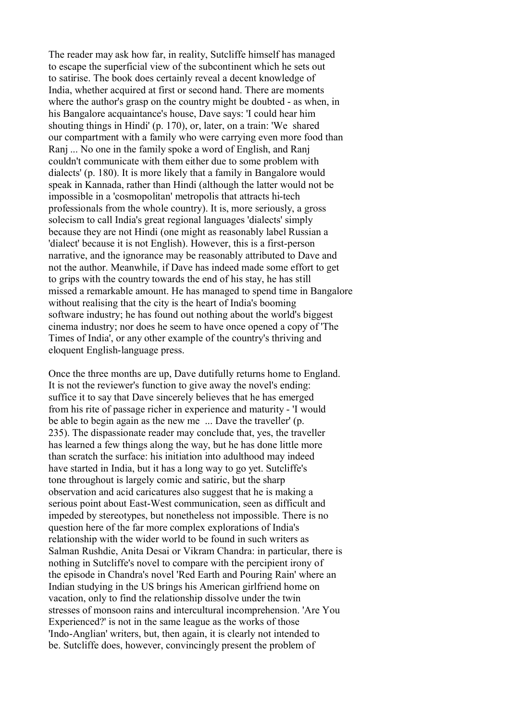The reader may ask how far, in reality, Sutcliffe himself has managed to escape the superficial view of the subcontinent which he sets out to satirise. The book does certainly reveal a decent knowledge of India, whether acquired at first or second hand. There are moments where the author's grasp on the country might be doubted - as when, in his Bangalore acquaintance's house, Dave says: 'I could hear him shouting things in Hindi' (p. 170), or, later, on a train: 'We shared our compartment with a family who were carrying even more food than Ranj ... No one in the family spoke a word of English, and Ranj couldn't communicate with them either due to some problem with dialects' (p. 180). It is more likely that a family in Bangalore would speak in Kannada, rather than Hindi (although the latter would not be impossible in a 'cosmopolitan' metropolis that attracts hi-tech professionals from the whole country). It is, more seriously, a gross solecism to call India's great regional languages 'dialects' simply because they are not Hindi (one might as reasonably label Russian a 'dialect' because it is not English). However, this is a first-person narrative, and the ignorance may be reasonably attributed to Dave and not the author. Meanwhile, if Dave has indeed made some effort to get to grips with the country towards the end of his stay, he has still missed a remarkable amount. He has managed to spend time in Bangalore without realising that the city is the heart of India's booming software industry; he has found out nothing about the world's biggest cinema industry; nor does he seem to have once opened a copy of 'The Times of India', or any other example of the country's thriving and eloquent English-language press.

Once the three months are up, Dave dutifully returns home to England. It is not the reviewer's function to give away the novel's ending: suffice it to say that Dave sincerely believes that he has emerged from his rite of passage richer in experience and maturity - 'I would be able to begin again as the new me ... Dave the traveller' (p. 235). The dispassionate reader may conclude that, yes, the traveller has learned a few things along the way, but he has done little more than scratch the surface: his initiation into adulthood may indeed have started in India, but it has a long way to go yet. Sutcliffe's tone throughout is largely comic and satiric, but the sharp observation and acid caricatures also suggest that he is making a serious point about East-West communication, seen as difficult and impeded by stereotypes, but nonetheless not impossible. There is no question here of the far more complex explorations of India's relationship with the wider world to be found in such writers as Salman Rushdie, Anita Desai or Vikram Chandra: in particular, there is nothing in Sutcliffe's novel to compare with the percipient irony of the episode in Chandra's novel 'Red Earth and Pouring Rain' where an Indian studying in the US brings his American girlfriend home on vacation, only to find the relationship dissolve under the twin stresses of monsoon rains and intercultural incomprehension. 'Are You Experienced?' is not in the same league as the works of those 'Indo-Anglian' writers, but, then again, it is clearly not intended to be. Sutcliffe does, however, convincingly present the problem of